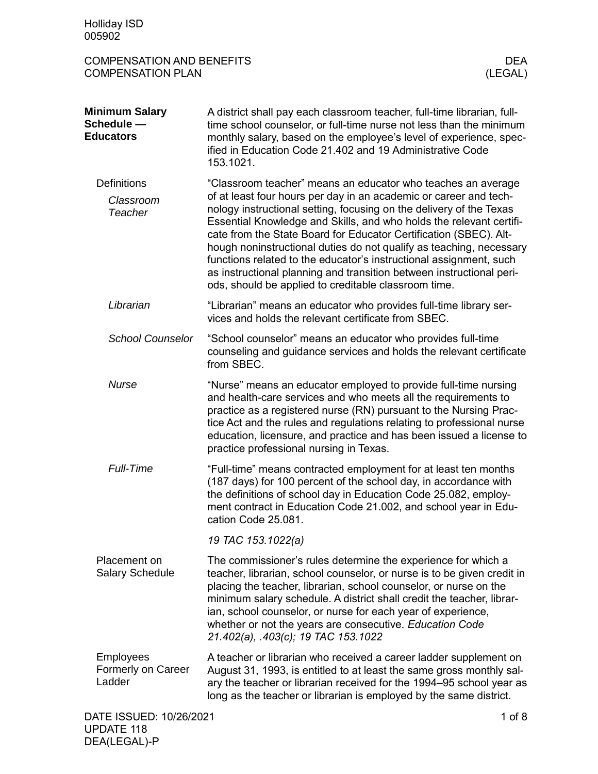| <b>Holliday ISD</b><br>005902                                |                                                                                                                                                                                                                                                                                                                                                                                                                                                                                                                                                                                                                                   |
|--------------------------------------------------------------|-----------------------------------------------------------------------------------------------------------------------------------------------------------------------------------------------------------------------------------------------------------------------------------------------------------------------------------------------------------------------------------------------------------------------------------------------------------------------------------------------------------------------------------------------------------------------------------------------------------------------------------|
| <b>COMPENSATION AND BENEFITS</b><br><b>COMPENSATION PLAN</b> | <b>DEA</b><br>(LEGAL)                                                                                                                                                                                                                                                                                                                                                                                                                                                                                                                                                                                                             |
| <b>Minimum Salary</b><br>Schedule -<br><b>Educators</b>      | A district shall pay each classroom teacher, full-time librarian, full-<br>time school counselor, or full-time nurse not less than the minimum<br>monthly salary, based on the employee's level of experience, spec-<br>ified in Education Code 21.402 and 19 Administrative Code<br>153.1021.                                                                                                                                                                                                                                                                                                                                    |
| <b>Definitions</b><br>Classroom<br><b>Teacher</b>            | "Classroom teacher" means an educator who teaches an average<br>of at least four hours per day in an academic or career and tech-<br>nology instructional setting, focusing on the delivery of the Texas<br>Essential Knowledge and Skills, and who holds the relevant certifi-<br>cate from the State Board for Educator Certification (SBEC). Alt-<br>hough noninstructional duties do not qualify as teaching, necessary<br>functions related to the educator's instructional assignment, such<br>as instructional planning and transition between instructional peri-<br>ods, should be applied to creditable classroom time. |
| Librarian                                                    | "Librarian" means an educator who provides full-time library ser-<br>vices and holds the relevant certificate from SBEC.                                                                                                                                                                                                                                                                                                                                                                                                                                                                                                          |
| <b>School Counselor</b>                                      | "School counselor" means an educator who provides full-time<br>counseling and guidance services and holds the relevant certificate<br>from SBEC.                                                                                                                                                                                                                                                                                                                                                                                                                                                                                  |
| <b>Nurse</b>                                                 | "Nurse" means an educator employed to provide full-time nursing<br>and health-care services and who meets all the requirements to<br>practice as a registered nurse (RN) pursuant to the Nursing Prac-<br>tice Act and the rules and regulations relating to professional nurse<br>education, licensure, and practice and has been issued a license to<br>practice professional nursing in Texas.                                                                                                                                                                                                                                 |
| <b>Full-Time</b>                                             | "Full-time" means contracted employment for at least ten months<br>(187 days) for 100 percent of the school day, in accordance with<br>the definitions of school day in Education Code 25.082, employ-<br>ment contract in Education Code 21.002, and school year in Edu-<br>cation Code 25.081.                                                                                                                                                                                                                                                                                                                                  |
|                                                              | 19 TAC 153.1022(a)                                                                                                                                                                                                                                                                                                                                                                                                                                                                                                                                                                                                                |
| Placement on<br><b>Salary Schedule</b>                       | The commissioner's rules determine the experience for which a<br>teacher, librarian, school counselor, or nurse is to be given credit in<br>placing the teacher, librarian, school counselor, or nurse on the<br>minimum salary schedule. A district shall credit the teacher, librar-<br>ian, school counselor, or nurse for each year of experience,<br>whether or not the years are consecutive. Education Code<br>21.402(a), .403(c); 19 TAC 153.1022                                                                                                                                                                         |
| <b>Employees</b><br>Formerly on Career<br>Ladder             | A teacher or librarian who received a career ladder supplement on<br>August 31, 1993, is entitled to at least the same gross monthly sal-<br>ary the teacher or librarian received for the 1994-95 school year as<br>long as the teacher or librarian is employed by the same district.                                                                                                                                                                                                                                                                                                                                           |
| DATE ISSUED: 10/26/2021                                      | $1$ of $8$                                                                                                                                                                                                                                                                                                                                                                                                                                                                                                                                                                                                                        |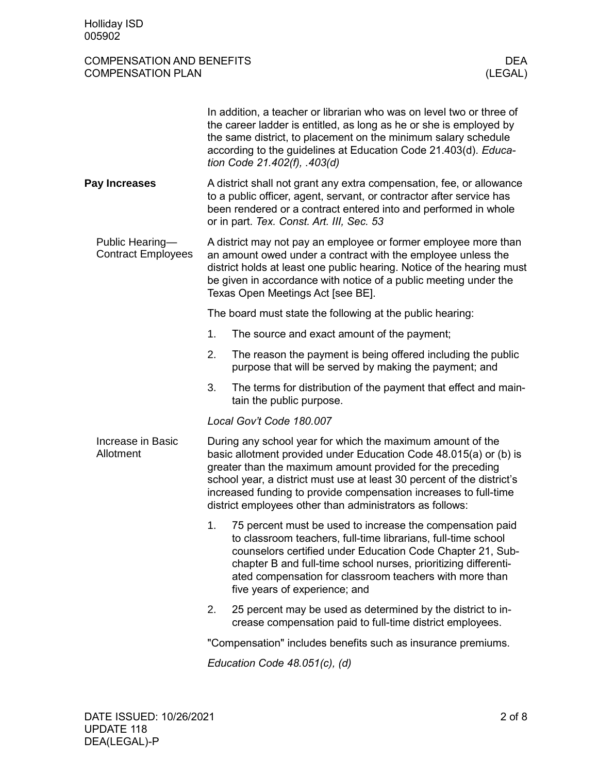| <b>COMPENSATION AND BENEFITS</b> |         |
|----------------------------------|---------|
| <b>COMPENSATION PLAN</b>         | (LEGAL) |

|                                              |    | In addition, a teacher or librarian who was on level two or three of<br>the career ladder is entitled, as long as he or she is employed by<br>the same district, to placement on the minimum salary schedule<br>according to the guidelines at Education Code 21.403(d). Educa-<br>tion Code 21.402(f), .403(d)                                                                                         |  |  |
|----------------------------------------------|----|---------------------------------------------------------------------------------------------------------------------------------------------------------------------------------------------------------------------------------------------------------------------------------------------------------------------------------------------------------------------------------------------------------|--|--|
| Pay Increases                                |    | A district shall not grant any extra compensation, fee, or allowance<br>to a public officer, agent, servant, or contractor after service has<br>been rendered or a contract entered into and performed in whole<br>or in part. Tex. Const. Art. III, Sec. 53                                                                                                                                            |  |  |
| Public Hearing-<br><b>Contract Employees</b> |    | A district may not pay an employee or former employee more than<br>an amount owed under a contract with the employee unless the<br>district holds at least one public hearing. Notice of the hearing must<br>be given in accordance with notice of a public meeting under the<br>Texas Open Meetings Act [see BE].                                                                                      |  |  |
|                                              |    | The board must state the following at the public hearing:                                                                                                                                                                                                                                                                                                                                               |  |  |
|                                              | 1. | The source and exact amount of the payment;                                                                                                                                                                                                                                                                                                                                                             |  |  |
|                                              | 2. | The reason the payment is being offered including the public<br>purpose that will be served by making the payment; and                                                                                                                                                                                                                                                                                  |  |  |
|                                              | 3. | The terms for distribution of the payment that effect and main-<br>tain the public purpose.                                                                                                                                                                                                                                                                                                             |  |  |
|                                              |    | Local Gov't Code 180.007                                                                                                                                                                                                                                                                                                                                                                                |  |  |
| Increase in Basic<br>Allotment               |    | During any school year for which the maximum amount of the<br>basic allotment provided under Education Code 48.015(a) or (b) is<br>greater than the maximum amount provided for the preceding<br>school year, a district must use at least 30 percent of the district's<br>increased funding to provide compensation increases to full-time<br>district employees other than administrators as follows: |  |  |
|                                              | 1. | 75 percent must be used to increase the compensation paid<br>to classroom teachers, full-time librarians, full-time school<br>counselors certified under Education Code Chapter 21, Sub-<br>chapter B and full-time school nurses, prioritizing differenti-<br>ated compensation for classroom teachers with more than<br>five years of experience; and                                                 |  |  |
|                                              | 2. | 25 percent may be used as determined by the district to in-<br>crease compensation paid to full-time district employees.                                                                                                                                                                                                                                                                                |  |  |
|                                              |    | "Compensation" includes benefits such as insurance premiums.                                                                                                                                                                                                                                                                                                                                            |  |  |
|                                              |    | $Edu$ cation Code 10 051(a) (d)                                                                                                                                                                                                                                                                                                                                                                         |  |  |

*Education Code 48.051(c), (d)*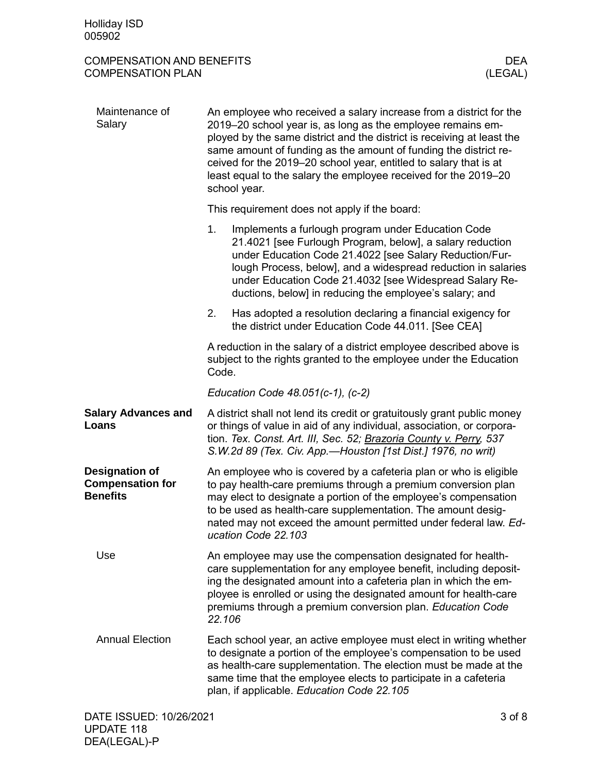| <b>COMPENSATION AND BENEFITS</b> |         |
|----------------------------------|---------|
| <b>COMPENSATION PLAN</b>         | (LEGAL) |

| Maintenance of<br>Salary                                            | An employee who received a salary increase from a district for the<br>2019–20 school year is, as long as the employee remains em-<br>ployed by the same district and the district is receiving at least the<br>same amount of funding as the amount of funding the district re-<br>ceived for the 2019–20 school year, entitled to salary that is at<br>least equal to the salary the employee received for the 2019-20<br>school year. |                                                                                                                                                                                                                                                                                                                                                                   |  |
|---------------------------------------------------------------------|-----------------------------------------------------------------------------------------------------------------------------------------------------------------------------------------------------------------------------------------------------------------------------------------------------------------------------------------------------------------------------------------------------------------------------------------|-------------------------------------------------------------------------------------------------------------------------------------------------------------------------------------------------------------------------------------------------------------------------------------------------------------------------------------------------------------------|--|
|                                                                     |                                                                                                                                                                                                                                                                                                                                                                                                                                         | This requirement does not apply if the board:                                                                                                                                                                                                                                                                                                                     |  |
|                                                                     | 1.                                                                                                                                                                                                                                                                                                                                                                                                                                      | Implements a furlough program under Education Code<br>21.4021 [see Furlough Program, below], a salary reduction<br>under Education Code 21.4022 [see Salary Reduction/Fur-<br>lough Process, below], and a widespread reduction in salaries<br>under Education Code 21.4032 [see Widespread Salary Re-<br>ductions, below] in reducing the employee's salary; and |  |
|                                                                     | 2.                                                                                                                                                                                                                                                                                                                                                                                                                                      | Has adopted a resolution declaring a financial exigency for<br>the district under Education Code 44.011. [See CEA]                                                                                                                                                                                                                                                |  |
|                                                                     | Code.                                                                                                                                                                                                                                                                                                                                                                                                                                   | A reduction in the salary of a district employee described above is<br>subject to the rights granted to the employee under the Education                                                                                                                                                                                                                          |  |
|                                                                     |                                                                                                                                                                                                                                                                                                                                                                                                                                         | Education Code $48.051(c-1)$ , $(c-2)$                                                                                                                                                                                                                                                                                                                            |  |
| <b>Salary Advances and</b><br>Loans                                 |                                                                                                                                                                                                                                                                                                                                                                                                                                         | A district shall not lend its credit or gratuitously grant public money<br>or things of value in aid of any individual, association, or corpora-<br>tion. Tex. Const. Art. III, Sec. 52; Brazoria County v. Perry, 537<br>S.W.2d 89 (Tex. Civ. App.-Houston [1st Dist.] 1976, no writ)                                                                            |  |
| <b>Designation of</b><br><b>Compensation for</b><br><b>Benefits</b> |                                                                                                                                                                                                                                                                                                                                                                                                                                         | An employee who is covered by a cafeteria plan or who is eligible<br>to pay health-care premiums through a premium conversion plan<br>may elect to designate a portion of the employee's compensation<br>to be used as health-care supplementation. The amount desig-<br>nated may not exceed the amount permitted under federal law. Ed-<br>ucation Code 22.103  |  |
| Use                                                                 | 22.106                                                                                                                                                                                                                                                                                                                                                                                                                                  | An employee may use the compensation designated for health-<br>care supplementation for any employee benefit, including deposit-<br>ing the designated amount into a cafeteria plan in which the em-<br>ployee is enrolled or using the designated amount for health-care<br>premiums through a premium conversion plan. Education Code                           |  |
| <b>Annual Election</b>                                              |                                                                                                                                                                                                                                                                                                                                                                                                                                         | Each school year, an active employee must elect in writing whether<br>to designate a portion of the employee's compensation to be used<br>as health-care supplementation. The election must be made at the<br>same time that the employee elects to participate in a cafeteria<br>plan, if applicable. Education Code 22.105                                      |  |
|                                                                     |                                                                                                                                                                                                                                                                                                                                                                                                                                         |                                                                                                                                                                                                                                                                                                                                                                   |  |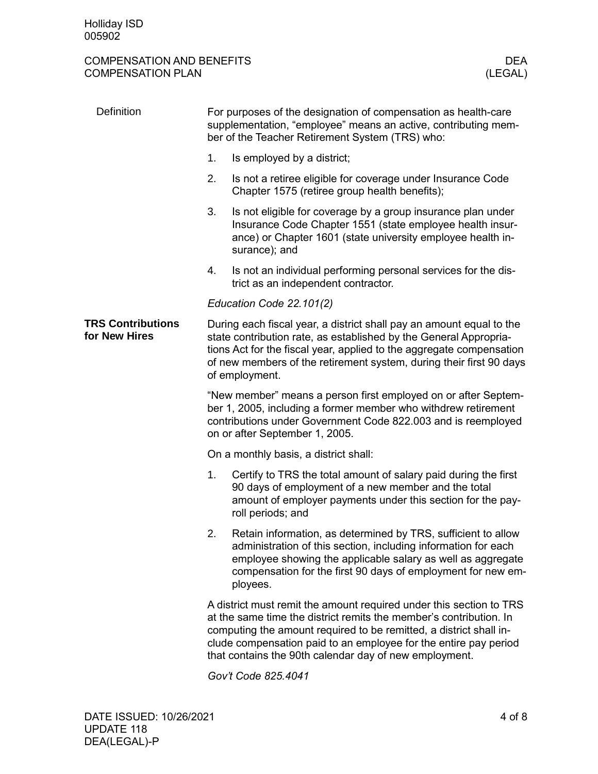# COMPENSATION AND BENEFITS DEA COMPENSATION PLAN

| <b>Definition</b>                         | For purposes of the designation of compensation as health-care<br>supplementation, "employee" means an active, contributing mem-<br>ber of the Teacher Retirement System (TRS) who:                                                                                                                                                           |                                                                                                                                                                                                                                                                            |  |  |  |
|-------------------------------------------|-----------------------------------------------------------------------------------------------------------------------------------------------------------------------------------------------------------------------------------------------------------------------------------------------------------------------------------------------|----------------------------------------------------------------------------------------------------------------------------------------------------------------------------------------------------------------------------------------------------------------------------|--|--|--|
|                                           | 1.                                                                                                                                                                                                                                                                                                                                            | Is employed by a district;                                                                                                                                                                                                                                                 |  |  |  |
|                                           | 2.                                                                                                                                                                                                                                                                                                                                            | Is not a retiree eligible for coverage under Insurance Code<br>Chapter 1575 (retiree group health benefits);                                                                                                                                                               |  |  |  |
|                                           | 3.                                                                                                                                                                                                                                                                                                                                            | Is not eligible for coverage by a group insurance plan under<br>Insurance Code Chapter 1551 (state employee health insur-<br>ance) or Chapter 1601 (state university employee health in-<br>surance); and                                                                  |  |  |  |
|                                           | 4.                                                                                                                                                                                                                                                                                                                                            | Is not an individual performing personal services for the dis-<br>trict as an independent contractor.                                                                                                                                                                      |  |  |  |
|                                           |                                                                                                                                                                                                                                                                                                                                               | Education Code 22.101(2)                                                                                                                                                                                                                                                   |  |  |  |
| <b>TRS Contributions</b><br>for New Hires | During each fiscal year, a district shall pay an amount equal to the<br>state contribution rate, as established by the General Appropria-<br>tions Act for the fiscal year, applied to the aggregate compensation<br>of new members of the retirement system, during their first 90 days<br>of employment.                                    |                                                                                                                                                                                                                                                                            |  |  |  |
|                                           | "New member" means a person first employed on or after Septem-<br>ber 1, 2005, including a former member who withdrew retirement<br>contributions under Government Code 822.003 and is reemployed<br>on or after September 1, 2005.                                                                                                           |                                                                                                                                                                                                                                                                            |  |  |  |
|                                           | On a monthly basis, a district shall:                                                                                                                                                                                                                                                                                                         |                                                                                                                                                                                                                                                                            |  |  |  |
|                                           | 1.                                                                                                                                                                                                                                                                                                                                            | Certify to TRS the total amount of salary paid during the first<br>90 days of employment of a new member and the total<br>amount of employer payments under this section for the pay-<br>roll periods; and                                                                 |  |  |  |
|                                           | 2.                                                                                                                                                                                                                                                                                                                                            | Retain information, as determined by TRS, sufficient to allow<br>administration of this section, including information for each<br>employee showing the applicable salary as well as aggregate<br>compensation for the first 90 days of employment for new em-<br>ployees. |  |  |  |
|                                           | A district must remit the amount required under this section to TRS<br>at the same time the district remits the member's contribution. In<br>computing the amount required to be remitted, a district shall in-<br>clude compensation paid to an employee for the entire pay period<br>that contains the 90th calendar day of new employment. |                                                                                                                                                                                                                                                                            |  |  |  |
|                                           | Gov't Code 825.4041                                                                                                                                                                                                                                                                                                                           |                                                                                                                                                                                                                                                                            |  |  |  |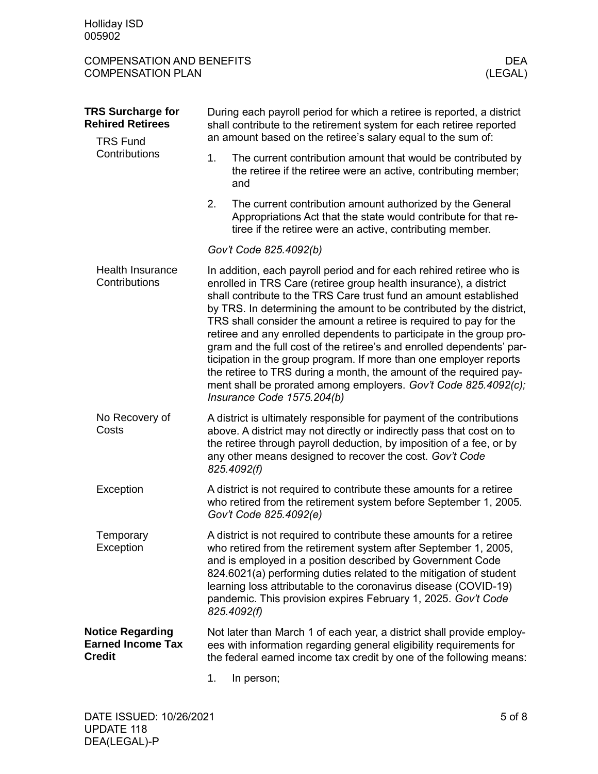| <b>COMPENSATION AND BENEFITS</b> |         |
|----------------------------------|---------|
| <b>COMPENSATION PLAN</b>         | (LEGAL) |

(LEGAL)

| <b>TRS Surcharge for</b><br><b>Rehired Retirees</b><br><b>TRS Fund</b> | During each payroll period for which a retiree is reported, a district<br>shall contribute to the retirement system for each retiree reported<br>an amount based on the retiree's salary equal to the sum of:                                                                                                                                                                                                                                                                                                                                                                                                                                                                                                                                              |  |  |
|------------------------------------------------------------------------|------------------------------------------------------------------------------------------------------------------------------------------------------------------------------------------------------------------------------------------------------------------------------------------------------------------------------------------------------------------------------------------------------------------------------------------------------------------------------------------------------------------------------------------------------------------------------------------------------------------------------------------------------------------------------------------------------------------------------------------------------------|--|--|
| Contributions                                                          | 1.<br>The current contribution amount that would be contributed by<br>the retiree if the retiree were an active, contributing member;<br>and                                                                                                                                                                                                                                                                                                                                                                                                                                                                                                                                                                                                               |  |  |
|                                                                        | 2.<br>The current contribution amount authorized by the General<br>Appropriations Act that the state would contribute for that re-<br>tiree if the retiree were an active, contributing member.                                                                                                                                                                                                                                                                                                                                                                                                                                                                                                                                                            |  |  |
|                                                                        | Gov't Code 825.4092(b)                                                                                                                                                                                                                                                                                                                                                                                                                                                                                                                                                                                                                                                                                                                                     |  |  |
| <b>Health Insurance</b><br>Contributions                               | In addition, each payroll period and for each rehired retiree who is<br>enrolled in TRS Care (retiree group health insurance), a district<br>shall contribute to the TRS Care trust fund an amount established<br>by TRS. In determining the amount to be contributed by the district,<br>TRS shall consider the amount a retiree is required to pay for the<br>retiree and any enrolled dependents to participate in the group pro-<br>gram and the full cost of the retiree's and enrolled dependents' par-<br>ticipation in the group program. If more than one employer reports<br>the retiree to TRS during a month, the amount of the required pay-<br>ment shall be prorated among employers. Gov't Code 825.4092(c);<br>Insurance Code 1575.204(b) |  |  |
| No Recovery of<br>Costs                                                | A district is ultimately responsible for payment of the contributions<br>above. A district may not directly or indirectly pass that cost on to<br>the retiree through payroll deduction, by imposition of a fee, or by<br>any other means designed to recover the cost. Gov't Code<br>825.4092(f)                                                                                                                                                                                                                                                                                                                                                                                                                                                          |  |  |
| Exception                                                              | A district is not required to contribute these amounts for a retiree<br>who retired from the retirement system before September 1, 2005.<br>Gov't Code 825.4092(e)                                                                                                                                                                                                                                                                                                                                                                                                                                                                                                                                                                                         |  |  |
| Temporary<br>Exception                                                 | A district is not required to contribute these amounts for a retiree<br>who retired from the retirement system after September 1, 2005,<br>and is employed in a position described by Government Code<br>824.6021(a) performing duties related to the mitigation of student<br>learning loss attributable to the coronavirus disease (COVID-19)<br>pandemic. This provision expires February 1, 2025. Gov't Code<br>825.4092(f)                                                                                                                                                                                                                                                                                                                            |  |  |
| <b>Notice Regarding</b><br><b>Earned Income Tax</b><br><b>Credit</b>   | Not later than March 1 of each year, a district shall provide employ-<br>ees with information regarding general eligibility requirements for<br>the federal earned income tax credit by one of the following means:                                                                                                                                                                                                                                                                                                                                                                                                                                                                                                                                        |  |  |
|                                                                        | 1.<br>In person;                                                                                                                                                                                                                                                                                                                                                                                                                                                                                                                                                                                                                                                                                                                                           |  |  |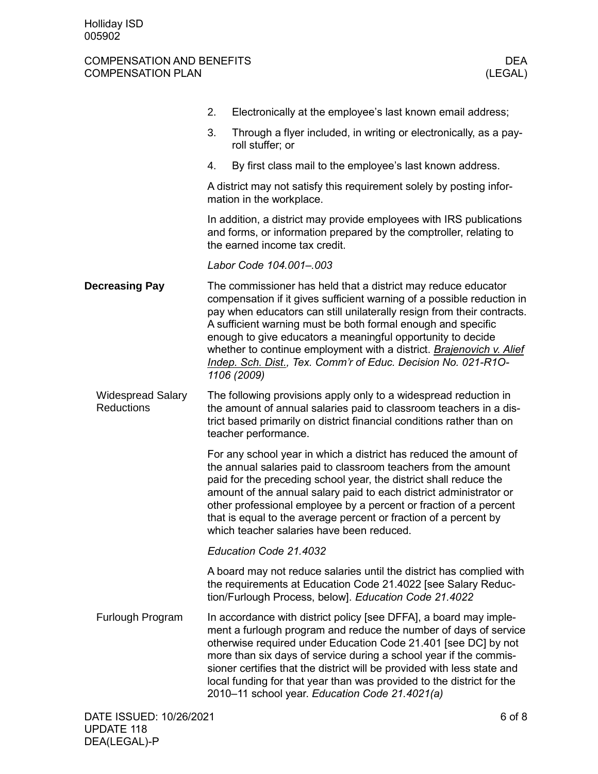# COMPENSATION AND BENEFITS DEA COMPENSATION PLAN

|                                               | 2. | Electronically at the employee's last known email address;                                                                                                                                                                                                                                                                                                                                                                                                                                               |        |
|-----------------------------------------------|----|----------------------------------------------------------------------------------------------------------------------------------------------------------------------------------------------------------------------------------------------------------------------------------------------------------------------------------------------------------------------------------------------------------------------------------------------------------------------------------------------------------|--------|
|                                               | 3. | Through a flyer included, in writing or electronically, as a pay-<br>roll stuffer; or                                                                                                                                                                                                                                                                                                                                                                                                                    |        |
|                                               | 4. | By first class mail to the employee's last known address.                                                                                                                                                                                                                                                                                                                                                                                                                                                |        |
|                                               |    | A district may not satisfy this requirement solely by posting infor-<br>mation in the workplace.                                                                                                                                                                                                                                                                                                                                                                                                         |        |
|                                               |    | In addition, a district may provide employees with IRS publications<br>and forms, or information prepared by the comptroller, relating to<br>the earned income tax credit.                                                                                                                                                                                                                                                                                                                               |        |
|                                               |    | Labor Code 104.001-.003                                                                                                                                                                                                                                                                                                                                                                                                                                                                                  |        |
| <b>Decreasing Pay</b>                         |    | The commissioner has held that a district may reduce educator<br>compensation if it gives sufficient warning of a possible reduction in<br>pay when educators can still unilaterally resign from their contracts.<br>A sufficient warning must be both formal enough and specific<br>enough to give educators a meaningful opportunity to decide<br>whether to continue employment with a district. Brajenovich v. Alief<br>Indep. Sch. Dist., Tex. Comm'r of Educ. Decision No. 021-R1O-<br>1106 (2009) |        |
| <b>Widespread Salary</b><br><b>Reductions</b> |    | The following provisions apply only to a widespread reduction in<br>the amount of annual salaries paid to classroom teachers in a dis-<br>trict based primarily on district financial conditions rather than on<br>teacher performance.                                                                                                                                                                                                                                                                  |        |
|                                               |    | For any school year in which a district has reduced the amount of<br>the annual salaries paid to classroom teachers from the amount<br>paid for the preceding school year, the district shall reduce the<br>amount of the annual salary paid to each district administrator or<br>other professional employee by a percent or fraction of a percent<br>that is equal to the average percent or fraction of a percent by<br>which teacher salaries have been reduced.                                     |        |
|                                               |    | Education Code 21.4032                                                                                                                                                                                                                                                                                                                                                                                                                                                                                   |        |
|                                               |    | A board may not reduce salaries until the district has complied with<br>the requirements at Education Code 21.4022 [see Salary Reduc-<br>tion/Furlough Process, below]. Education Code 21.4022                                                                                                                                                                                                                                                                                                           |        |
| Furlough Program                              |    | In accordance with district policy [see DFFA], a board may imple-<br>ment a furlough program and reduce the number of days of service<br>otherwise required under Education Code 21.401 [see DC] by not<br>more than six days of service during a school year if the commis-<br>sioner certifies that the district will be provided with less state and<br>local funding for that year than was provided to the district for the<br>2010-11 school year. Education Code 21.4021(a)                       |        |
| DATE ISSUED: 10/26/2021                       |    |                                                                                                                                                                                                                                                                                                                                                                                                                                                                                                          | 6 of 8 |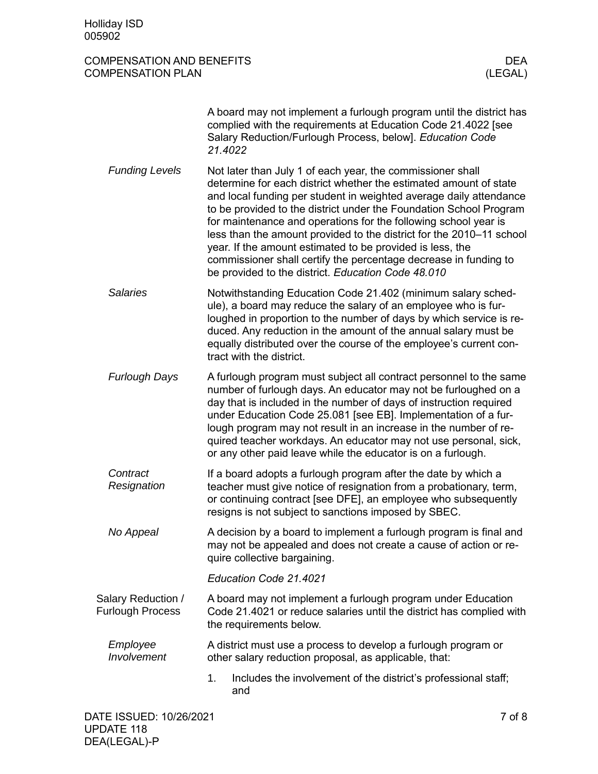# COMPENSATION AND BENEFITS DEA COMPENSATION PLAN

|                                               | A board may not implement a furlough program until the district has<br>complied with the requirements at Education Code 21.4022 [see<br>Salary Reduction/Furlough Process, below]. Education Code<br>21.4022                                                                                                                                                                                                                                                                                                                                                                                                  |
|-----------------------------------------------|---------------------------------------------------------------------------------------------------------------------------------------------------------------------------------------------------------------------------------------------------------------------------------------------------------------------------------------------------------------------------------------------------------------------------------------------------------------------------------------------------------------------------------------------------------------------------------------------------------------|
| <b>Funding Levels</b>                         | Not later than July 1 of each year, the commissioner shall<br>determine for each district whether the estimated amount of state<br>and local funding per student in weighted average daily attendance<br>to be provided to the district under the Foundation School Program<br>for maintenance and operations for the following school year is<br>less than the amount provided to the district for the 2010-11 school<br>year. If the amount estimated to be provided is less, the<br>commissioner shall certify the percentage decrease in funding to<br>be provided to the district. Education Code 48.010 |
| <b>Salaries</b>                               | Notwithstanding Education Code 21.402 (minimum salary sched-<br>ule), a board may reduce the salary of an employee who is fur-<br>loughed in proportion to the number of days by which service is re-<br>duced. Any reduction in the amount of the annual salary must be<br>equally distributed over the course of the employee's current con-<br>tract with the district.                                                                                                                                                                                                                                    |
| <b>Furlough Days</b>                          | A furlough program must subject all contract personnel to the same<br>number of furlough days. An educator may not be furloughed on a<br>day that is included in the number of days of instruction required<br>under Education Code 25.081 [see EB]. Implementation of a fur-<br>lough program may not result in an increase in the number of re-<br>quired teacher workdays. An educator may not use personal, sick,<br>or any other paid leave while the educator is on a furlough.                                                                                                                         |
| Contract<br>Resignation                       | If a board adopts a furlough program after the date by which a<br>teacher must give notice of resignation from a probationary, term,<br>or continuing contract [see DFE], an employee who subsequently<br>resigns is not subject to sanctions imposed by SBEC.                                                                                                                                                                                                                                                                                                                                                |
| No Appeal                                     | A decision by a board to implement a furlough program is final and<br>may not be appealed and does not create a cause of action or re-<br>quire collective bargaining.                                                                                                                                                                                                                                                                                                                                                                                                                                        |
|                                               | Education Code 21.4021                                                                                                                                                                                                                                                                                                                                                                                                                                                                                                                                                                                        |
| Salary Reduction /<br><b>Furlough Process</b> | A board may not implement a furlough program under Education<br>Code 21.4021 or reduce salaries until the district has complied with<br>the requirements below.                                                                                                                                                                                                                                                                                                                                                                                                                                               |
| Employee<br>Involvement                       | A district must use a process to develop a furlough program or<br>other salary reduction proposal, as applicable, that:                                                                                                                                                                                                                                                                                                                                                                                                                                                                                       |
|                                               | Includes the involvement of the district's professional staff;<br>1.<br>and                                                                                                                                                                                                                                                                                                                                                                                                                                                                                                                                   |
|                                               |                                                                                                                                                                                                                                                                                                                                                                                                                                                                                                                                                                                                               |